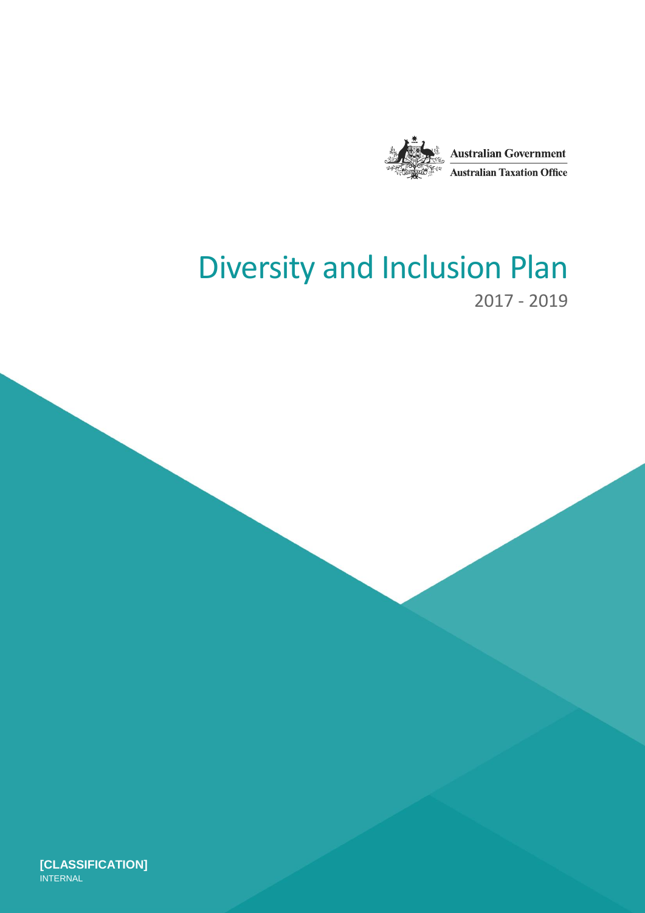

# Diversity and Inclusion Plan 2017 - 2019

**[CLASSIFICATION] INTERNAL**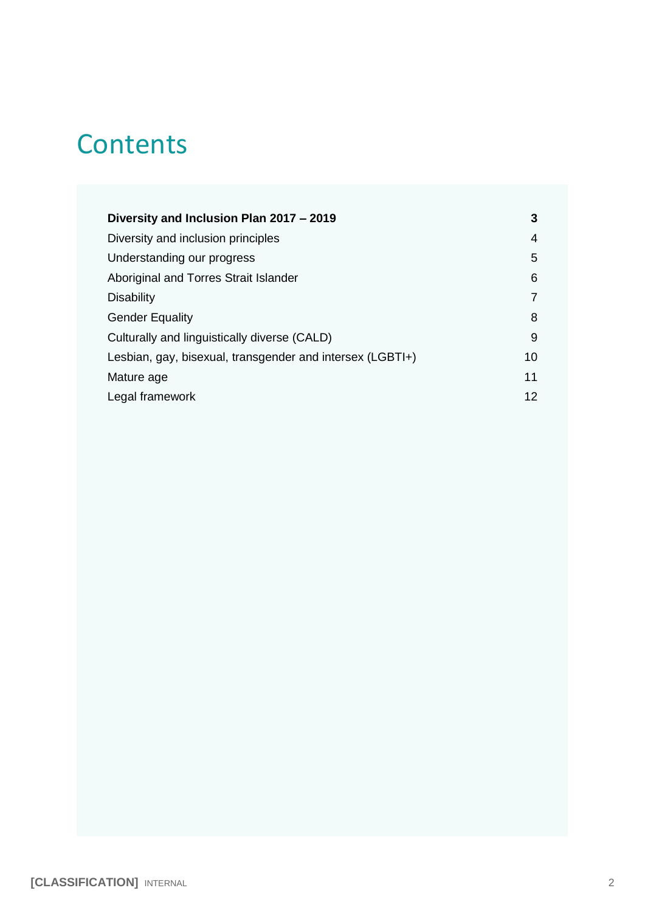# **Contents**

| Diversity and Inclusion Plan 2017 - 2019                  | 3  |
|-----------------------------------------------------------|----|
| Diversity and inclusion principles                        | 4  |
| Understanding our progress                                | 5  |
| Aboriginal and Torres Strait Islander                     | 6  |
| <b>Disability</b>                                         | 7  |
| <b>Gender Equality</b>                                    | 8  |
| Culturally and linguistically diverse (CALD)              |    |
| Lesbian, gay, bisexual, transgender and intersex (LGBTI+) |    |
| Mature age                                                | 11 |
| Legal framework                                           | 12 |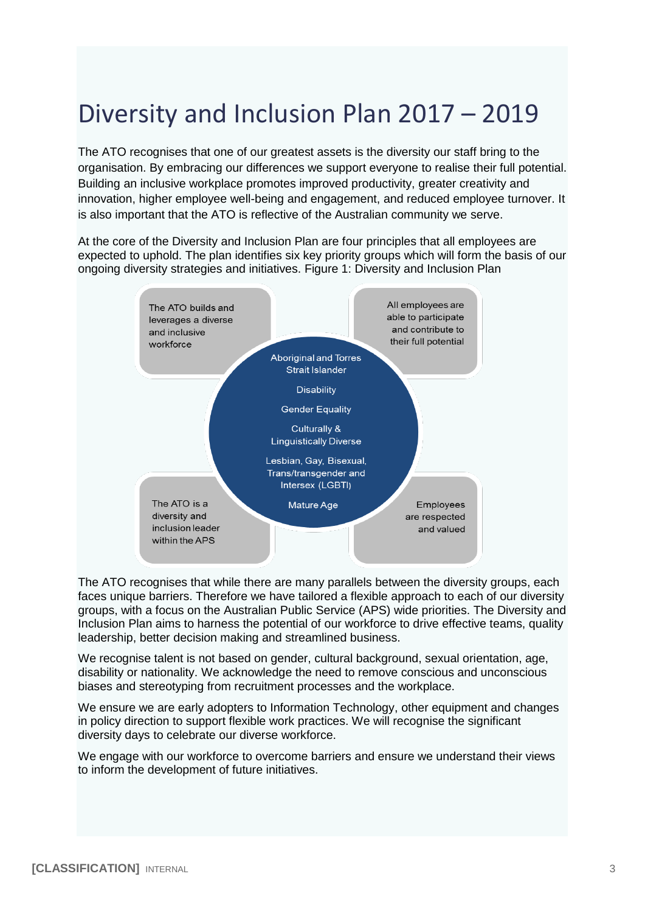# <span id="page-2-0"></span>Diversity and Inclusion Plan 2017 – 2019

The ATO recognises that one of our greatest assets is the diversity our staff bring to the organisation. By embracing our differences we support everyone to realise their full potential. Building an inclusive workplace promotes improved productivity, greater creativity and innovation, higher employee well-being and engagement, and reduced employee turnover. It is also important that the ATO is reflective of the Australian community we serve.

At the core of the Diversity and Inclusion Plan are four principles that all employees are expected to uphold. The plan identifies six key priority groups which will form the basis of our ongoing diversity strategies and initiatives. Figure 1: Diversity and Inclusion Plan



The ATO recognises that while there are many parallels between the diversity groups, each faces unique barriers. Therefore we have tailored a flexible approach to each of our diversity groups, with a focus on the Australian Public Service (APS) wide priorities. The Diversity and Inclusion Plan aims to harness the potential of our workforce to drive effective teams, quality leadership, better decision making and streamlined business.

We recognise talent is not based on gender, cultural background, sexual orientation, age, disability or nationality. We acknowledge the need to remove conscious and unconscious biases and stereotyping from recruitment processes and the workplace.

We ensure we are early adopters to Information Technology, other equipment and changes in policy direction to support flexible work practices. We will recognise the significant diversity days to celebrate our diverse workforce.

We engage with our workforce to overcome barriers and ensure we understand their views to inform the development of future initiatives.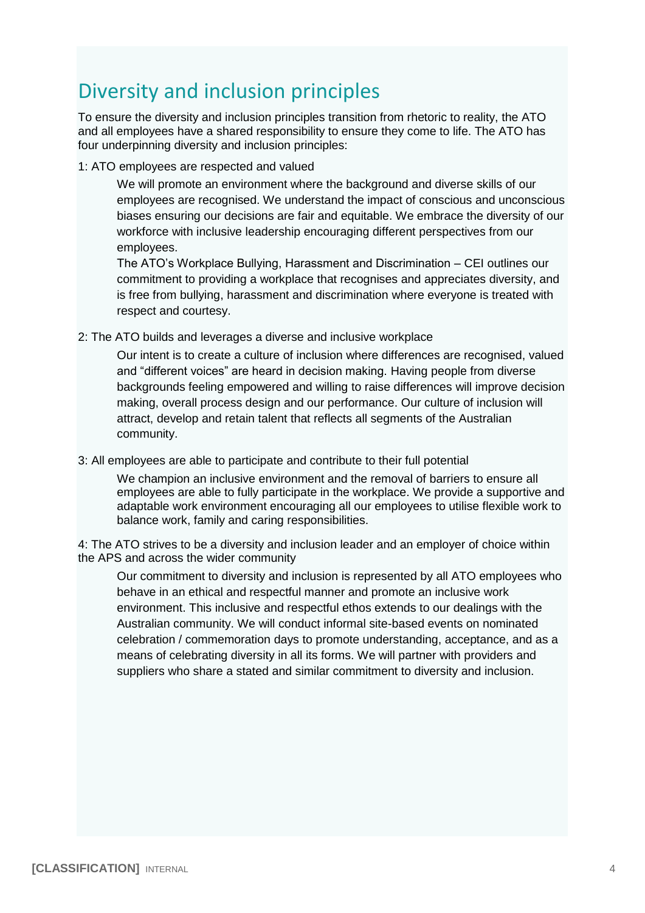# <span id="page-3-0"></span>Diversity and inclusion principles

To ensure the diversity and inclusion principles transition from rhetoric to reality, the ATO and all employees have a shared responsibility to ensure they come to life. The ATO has four underpinning diversity and inclusion principles:

1: ATO employees are respected and valued

We will promote an environment where the background and diverse skills of our employees are recognised. We understand the impact of conscious and unconscious biases ensuring our decisions are fair and equitable. We embrace the diversity of our workforce with inclusive leadership encouraging different perspectives from our employees.

The ATO's Workplace Bullying, Harassment and Discrimination – CEI outlines our commitment to providing a workplace that recognises and appreciates diversity, and is free from bullying, harassment and discrimination where everyone is treated with respect and courtesy.

2: The ATO builds and leverages a diverse and inclusive workplace

Our intent is to create a culture of inclusion where differences are recognised, valued and "different voices" are heard in decision making. Having people from diverse backgrounds feeling empowered and willing to raise differences will improve decision making, overall process design and our performance. Our culture of inclusion will attract, develop and retain talent that reflects all segments of the Australian community.

3: All employees are able to participate and contribute to their full potential

We champion an inclusive environment and the removal of barriers to ensure all employees are able to fully participate in the workplace. We provide a supportive and adaptable work environment encouraging all our employees to utilise flexible work to balance work, family and caring responsibilities.

4: The ATO strives to be a diversity and inclusion leader and an employer of choice within the APS and across the wider community

Our commitment to diversity and inclusion is represented by all ATO employees who behave in an ethical and respectful manner and promote an inclusive work environment. This inclusive and respectful ethos extends to our dealings with the Australian community. We will conduct informal site-based events on nominated celebration / commemoration days to promote understanding, acceptance, and as a means of celebrating diversity in all its forms. We will partner with providers and suppliers who share a stated and similar commitment to diversity and inclusion.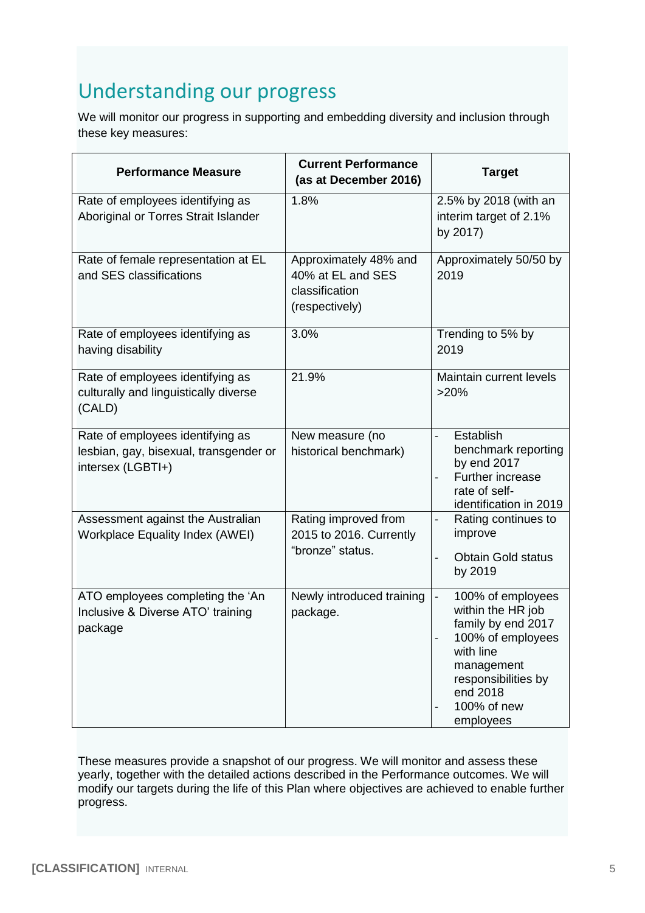# <span id="page-4-0"></span>Understanding our progress

We will monitor our progress in supporting and embedding diversity and inclusion through these key measures:

| <b>Performance Measure</b>                                                                      | <b>Current Performance</b><br>(as at December 2016)                            | <b>Target</b>                                                                                                                                                               |
|-------------------------------------------------------------------------------------------------|--------------------------------------------------------------------------------|-----------------------------------------------------------------------------------------------------------------------------------------------------------------------------|
| Rate of employees identifying as<br>Aboriginal or Torres Strait Islander                        | 1.8%                                                                           | 2.5% by 2018 (with an<br>interim target of 2.1%<br>by 2017)                                                                                                                 |
| Rate of female representation at EL<br>and SES classifications                                  | Approximately 48% and<br>40% at EL and SES<br>classification<br>(respectively) | Approximately 50/50 by<br>2019                                                                                                                                              |
| Rate of employees identifying as<br>having disability                                           | 3.0%                                                                           | Trending to 5% by<br>2019                                                                                                                                                   |
| Rate of employees identifying as<br>culturally and linguistically diverse<br>(CALD)             | 21.9%                                                                          | Maintain current levels<br>>20%                                                                                                                                             |
| Rate of employees identifying as<br>lesbian, gay, bisexual, transgender or<br>intersex (LGBTI+) | New measure (no<br>historical benchmark)                                       | Establish<br>$\overline{a}$<br>benchmark reporting<br>by end 2017<br>Further increase<br>rate of self-<br>identification in 2019                                            |
| Assessment against the Australian<br><b>Workplace Equality Index (AWEI)</b>                     | Rating improved from<br>2015 to 2016. Currently<br>"bronze" status.            | Rating continues to<br>$\overline{\phantom{0}}$<br>improve<br><b>Obtain Gold status</b><br>$\overline{\phantom{0}}$<br>by 2019                                              |
| ATO employees completing the 'An<br>Inclusive & Diverse ATO' training<br>package                | Newly introduced training<br>package.                                          | 100% of employees<br>within the HR job<br>family by end 2017<br>100% of employees<br>with line<br>management<br>responsibilities by<br>end 2018<br>100% of new<br>employees |

These measures provide a snapshot of our progress. We will monitor and assess these yearly, together with the detailed actions described in the Performance outcomes. We will modify our targets during the life of this Plan where objectives are achieved to enable further progress.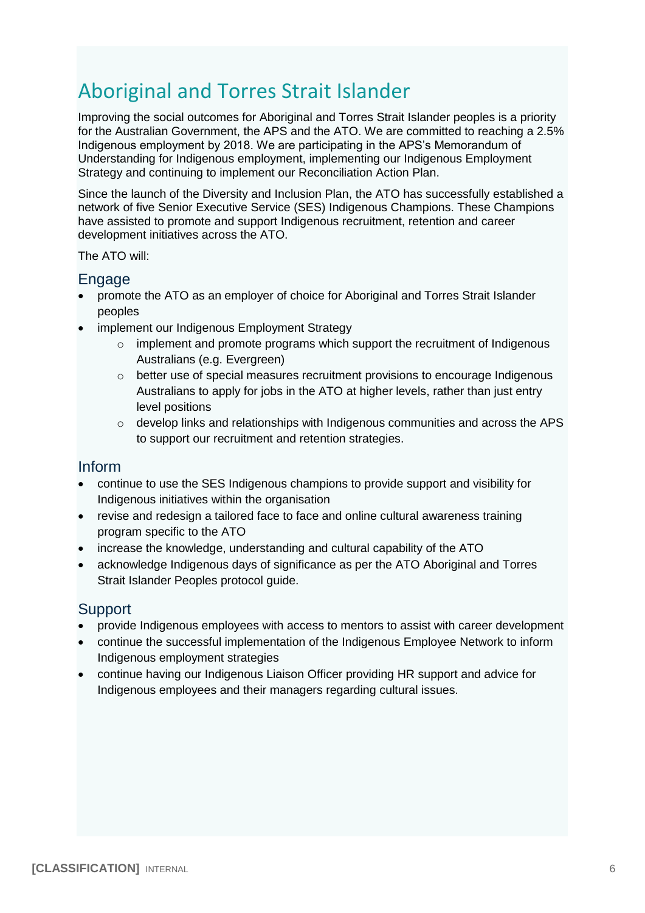# <span id="page-5-0"></span>Aboriginal and Torres Strait Islander

Improving the social outcomes for Aboriginal and Torres Strait Islander peoples is a priority for the Australian Government, the APS and the ATO. We are committed to reaching a 2.5% Indigenous employment by 2018. We are participating in the APS's Memorandum of Understanding for Indigenous employment, implementing our Indigenous Employment Strategy and continuing to implement our Reconciliation Action Plan.

Since the launch of the Diversity and Inclusion Plan, the ATO has successfully established a network of five Senior Executive Service (SES) Indigenous Champions. These Champions have assisted to promote and support Indigenous recruitment, retention and career development initiatives across the ATO.

The ATO will:

### **Engage**

- promote the ATO as an employer of choice for Aboriginal and Torres Strait Islander peoples
- implement our Indigenous Employment Strategy
	- $\circ$  implement and promote programs which support the recruitment of Indigenous Australians (e.g. Evergreen)
	- $\circ$  better use of special measures recruitment provisions to encourage Indigenous Australians to apply for jobs in the ATO at higher levels, rather than just entry level positions
	- o develop links and relationships with Indigenous communities and across the APS to support our recruitment and retention strategies.

### Inform

- continue to use the SES Indigenous champions to provide support and visibility for Indigenous initiatives within the organisation
- revise and redesign a tailored face to face and online cultural awareness training program specific to the ATO
- increase the knowledge, understanding and cultural capability of the ATO
- acknowledge Indigenous days of significance as per the ATO Aboriginal and Torres Strait Islander Peoples protocol guide.

- provide Indigenous employees with access to mentors to assist with career development
- continue the successful implementation of the Indigenous Employee Network to inform Indigenous employment strategies
- continue having our Indigenous Liaison Officer providing HR support and advice for Indigenous employees and their managers regarding cultural issues.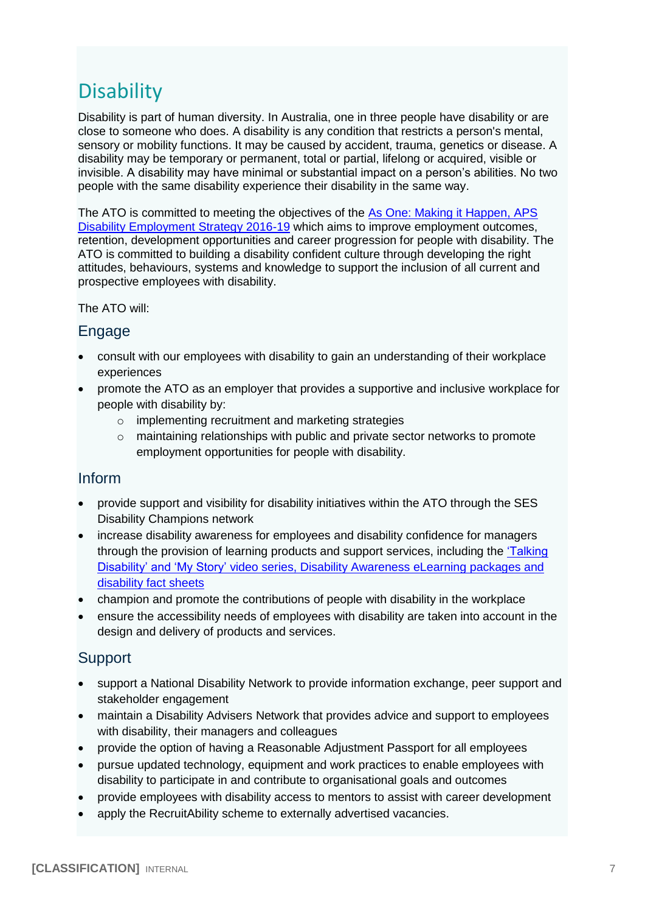# <span id="page-6-0"></span>**Disability**

Disability is part of human diversity. In Australia, one in three people have disability or are close to someone who does. A disability is any condition that restricts a person's mental, sensory or mobility functions. It may be caused by accident, trauma, genetics or disease. A disability may be temporary or permanent, total or partial, lifelong or acquired, visible or invisible. A disability may have minimal or substantial impact on a person's abilities. No two people with the same disability experience their disability in the same way.

The ATO is committed to meeting the objectives of the [As One: Making it Happen, APS](http://www.apsc.gov.au/managing-in-the-aps/disability/as-one-aps-disability-employment-strategy-2016-19)  [Disability Employment Strategy 2016-19](http://www.apsc.gov.au/managing-in-the-aps/disability/as-one-aps-disability-employment-strategy-2016-19) which aims to improve employment outcomes, retention, development opportunities and career progression for people with disability. The ATO is committed to building a disability confident culture through developing the right attitudes, behaviours, systems and knowledge to support the inclusion of all current and prospective employees with disability.

#### The ATO will:

## Engage

- consult with our employees with disability to gain an understanding of their workplace experiences
- promote the ATO as an employer that provides a supportive and inclusive workplace for people with disability by:
	- o implementing recruitment and marketing strategies
	- o maintaining relationships with public and private sector networks to promote employment opportunities for people with disability.

### Inform

- provide support and visibility for disability initiatives within the ATO through the SES Disability Champions network
- increase disability awareness for employees and disability confidence for managers through the provision of learning products and support services, including the ['Talking](http://sharepoint/GASites/WSH/WorkplaceDiversity/%27Talking%20Disability%27%20Video%20Series.aspx?WikiPageMode=Edit&InitialTabId=Ribbon.EditingTools.CPEditTab&VisibilityContext=WSSWikiPage)  [Disability'](http://sharepoint/GASites/WSH/WorkplaceDiversity/%27Talking%20Disability%27%20Video%20Series.aspx?WikiPageMode=Edit&InitialTabId=Ribbon.EditingTools.CPEditTab&VisibilityContext=WSSWikiPage) and 'My Story' video series, Disability Awareness eLearning packages and [disability fact sheets](http://sharepoint/GASites/WSH/WorkplaceDiversity/Disability%20Awareness%20Learning%20and%20Development.aspx)
- champion and promote the contributions of people with disability in the workplace
- ensure the accessibility needs of employees with disability are taken into account in the design and delivery of products and services.

- support a National Disability Network to provide information exchange, peer support and stakeholder engagement
- maintain a Disability Advisers Network that provides advice and support to employees with disability, their managers and colleagues
- provide the option of having a Reasonable Adjustment Passport for all employees
- pursue updated technology, equipment and work practices to enable employees with disability to participate in and contribute to organisational goals and outcomes
- provide employees with disability access to mentors to assist with career development
- apply the RecruitAbility scheme to externally advertised vacancies.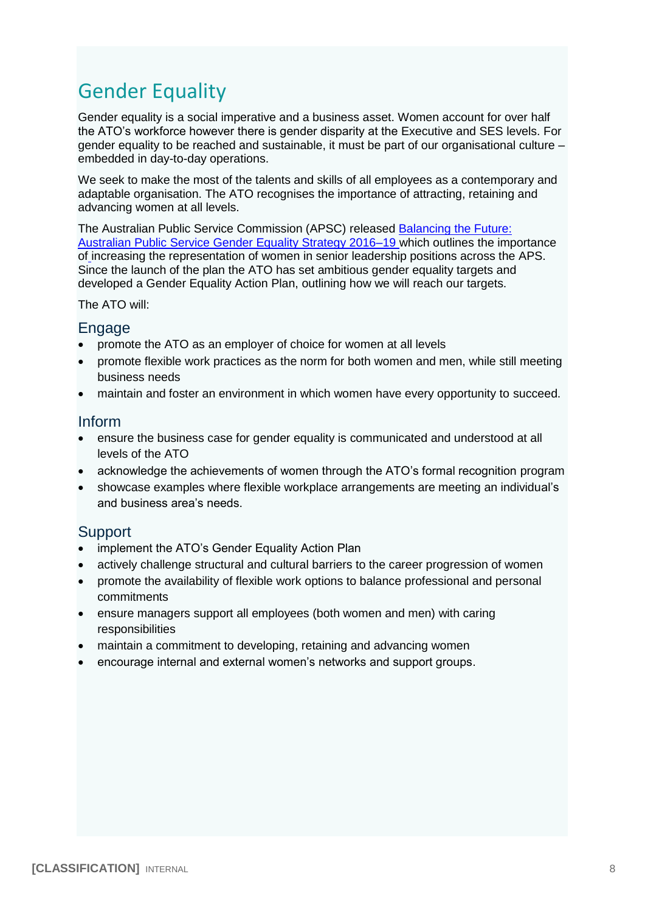# <span id="page-7-0"></span>Gender Equality

Gender equality is a social imperative and a business asset. Women account for over half the ATO's workforce however there is gender disparity at the Executive and SES levels. For gender equality to be reached and sustainable, it must be part of our organisational culture – embedded in day-to-day operations.

We seek to make the most of the talents and skills of all employees as a contemporary and adaptable organisation. The ATO recognises the importance of attracting, retaining and advancing women at all levels.

The Australian Public Service Commission (APSC) released [Balancing the Future:](http://www.google.com.au/url?sa=t&rct=j&q=&esrc=s&source=web&cd=2&cad=rja&uact=8&ved=0ahUKEwiH9J28w7XOAhUDkZQKHYo0D0gQFgghMAE&url=http%3A%2F%2Fwww.apsc.gov.au%2F__data%2Fassets%2Fpdf_file%2F0017%2F80117%2FFINAL-Balancing-the-future-the-Australian-Public-Service-gender-equality-strategy-2016-19.pdf&usg=AFQjCNGhVPXQoJIkWHw6E6k-Hn1qezhuyQ)  [Australian Public Service Gender Equality Strategy 2016–19](http://www.google.com.au/url?sa=t&rct=j&q=&esrc=s&source=web&cd=2&cad=rja&uact=8&ved=0ahUKEwiH9J28w7XOAhUDkZQKHYo0D0gQFgghMAE&url=http%3A%2F%2Fwww.apsc.gov.au%2F__data%2Fassets%2Fpdf_file%2F0017%2F80117%2FFINAL-Balancing-the-future-the-Australian-Public-Service-gender-equality-strategy-2016-19.pdf&usg=AFQjCNGhVPXQoJIkWHw6E6k-Hn1qezhuyQ) which outlines the importance of increasing the representation of women in senior leadership positions across the APS. Since the launch of the plan the ATO has set ambitious gender equality targets and developed a Gender Equality Action Plan, outlining how we will reach our targets.

#### The ATO will:

#### Engage

- promote the ATO as an employer of choice for women at all levels
- promote flexible work practices as the norm for both women and men, while still meeting business needs
- maintain and foster an environment in which women have every opportunity to succeed.

#### Inform

- ensure the business case for gender equality is communicated and understood at all levels of the ATO
- acknowledge the achievements of women through the ATO's formal recognition program
- showcase examples where flexible workplace arrangements are meeting an individual's and business area's needs.

- implement the ATO's Gender Equality Action Plan
- actively challenge structural and cultural barriers to the career progression of women
- promote the availability of flexible work options to balance professional and personal commitments
- ensure managers support all employees (both women and men) with caring responsibilities
- maintain a commitment to developing, retaining and advancing women
- encourage internal and external women's networks and support groups.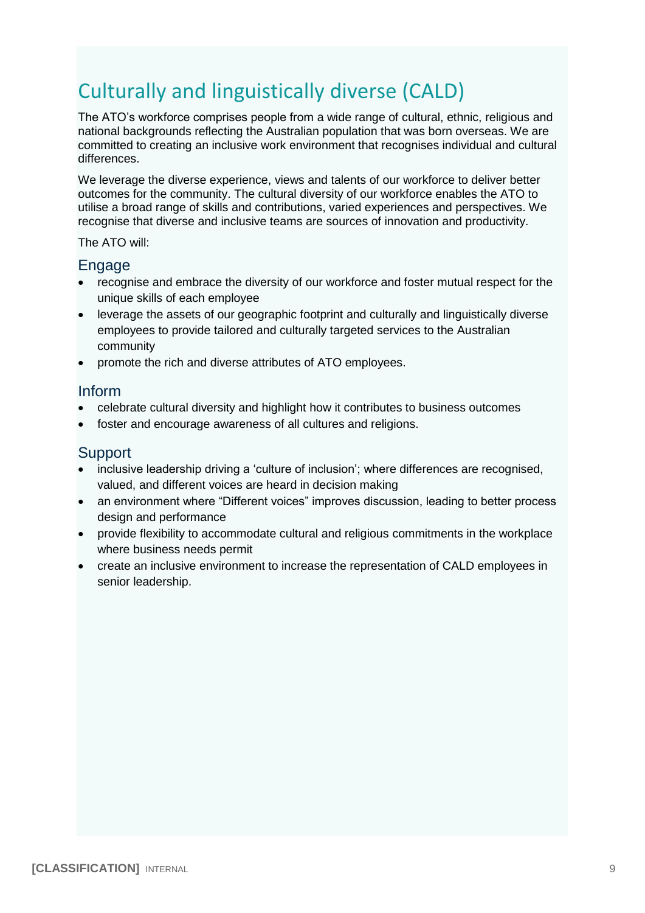# <span id="page-8-0"></span>Culturally and linguistically diverse (CALD)

The ATO's workforce comprises people from a wide range of cultural, ethnic, religious and national backgrounds reflecting the Australian population that was born overseas. We are committed to creating an inclusive work environment that recognises individual and cultural differences.

We leverage the diverse experience, views and talents of our workforce to deliver better outcomes for the community. The cultural diversity of our workforce enables the ATO to utilise a broad range of skills and contributions, varied experiences and perspectives. We recognise that diverse and inclusive teams are sources of innovation and productivity.

The ATO will:

### Engage

- recognise and embrace the diversity of our workforce and foster mutual respect for the unique skills of each employee
- leverage the assets of our geographic footprint and culturally and linguistically diverse employees to provide tailored and culturally targeted services to the Australian community
- promote the rich and diverse attributes of ATO employees.

### Inform

- celebrate cultural diversity and highlight how it contributes to business outcomes
- foster and encourage awareness of all cultures and religions.

- inclusive leadership driving a 'culture of inclusion'; where differences are recognised, valued, and different voices are heard in decision making
- an environment where "Different voices" improves discussion, leading to better process design and performance
- provide flexibility to accommodate cultural and religious commitments in the workplace where business needs permit
- create an inclusive environment to increase the representation of CALD employees in senior leadership.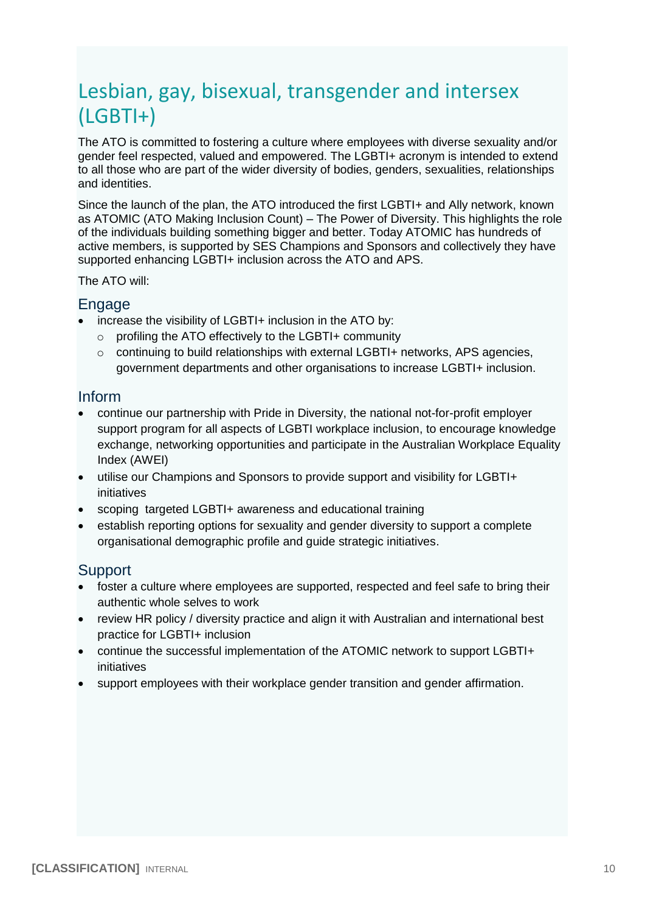# <span id="page-9-0"></span>Lesbian, gay, bisexual, transgender and intersex (LGBTI+)

The ATO is committed to fostering a culture where employees with diverse sexuality and/or gender feel respected, valued and empowered. The LGBTI+ acronym is intended to extend to all those who are part of the wider diversity of bodies, genders, sexualities, relationships and identities.

Since the launch of the plan, the ATO introduced the first LGBTI+ and Ally network, known as ATOMIC (ATO Making Inclusion Count) – The Power of Diversity. This highlights the role of the individuals building something bigger and better. Today ATOMIC has hundreds of active members, is supported by SES Champions and Sponsors and collectively they have supported enhancing LGBTI+ inclusion across the ATO and APS.

The ATO will:

#### Engage

- increase the visibility of LGBTI+ inclusion in the ATO by:
	- o profiling the ATO effectively to the LGBTI+ community
	- $\circ$  continuing to build relationships with external LGBTI+ networks, APS agencies, government departments and other organisations to increase LGBTI+ inclusion.

### Inform

- continue our partnership with Pride in Diversity, the national not-for-profit employer support program for all aspects of LGBTI workplace inclusion, to encourage knowledge exchange, networking opportunities and participate in the Australian Workplace Equality Index (AWEI)
- utilise our Champions and Sponsors to provide support and visibility for LGBTI+ initiatives
- scoping targeted LGBTI+ awareness and educational training
- establish reporting options for sexuality and gender diversity to support a complete organisational demographic profile and guide strategic initiatives.

- foster a culture where employees are supported, respected and feel safe to bring their authentic whole selves to work
- review HR policy / diversity practice and align it with Australian and international best practice for LGBTI+ inclusion
- continue the successful implementation of the ATOMIC network to support LGBTI+ initiatives
- support employees with their workplace gender transition and gender affirmation.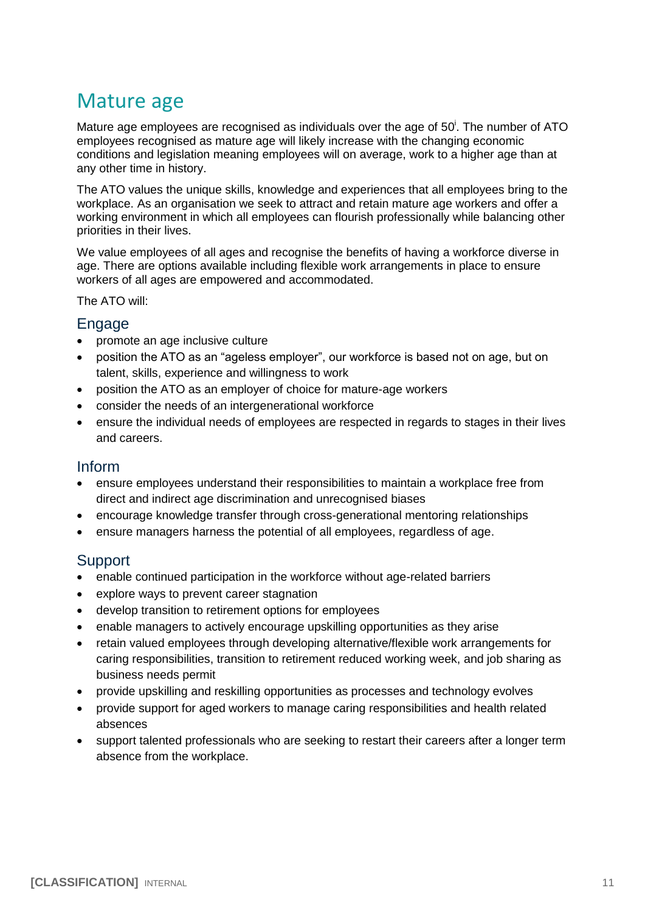# <span id="page-10-0"></span>Mature age

Mature age employees are recognised as individuals over the age of  $50<sup>i</sup>$ . The number of ATO employees recognised as mature age will likely increase with the changing economic conditions and legislation meaning employees will on average, work to a higher age than at any other time in history.

The ATO values the unique skills, knowledge and experiences that all employees bring to the workplace. As an organisation we seek to attract and retain mature age workers and offer a working environment in which all employees can flourish professionally while balancing other priorities in their lives.

We value employees of all ages and recognise the benefits of having a workforce diverse in age. There are options available including flexible work arrangements in place to ensure workers of all ages are empowered and accommodated.

The ATO will:

#### Engage

- promote an age inclusive culture
- position the ATO as an "ageless employer", our workforce is based not on age, but on talent, skills, experience and willingness to work
- position the ATO as an employer of choice for mature-age workers
- consider the needs of an intergenerational workforce
- ensure the individual needs of employees are respected in regards to stages in their lives and careers.

### Inform

- ensure employees understand their responsibilities to maintain a workplace free from direct and indirect age discrimination and unrecognised biases
- encourage knowledge transfer through cross-generational mentoring relationships
- ensure managers harness the potential of all employees, regardless of age.

- enable continued participation in the workforce without age-related barriers
- explore ways to prevent career stagnation
- develop transition to retirement options for employees
- enable managers to actively encourage upskilling opportunities as they arise
- retain valued employees through developing alternative/flexible work arrangements for caring responsibilities, transition to retirement reduced working week, and job sharing as business needs permit
- provide upskilling and reskilling opportunities as processes and technology evolves
- provide support for aged workers to manage caring responsibilities and health related absences
- support talented professionals who are seeking to restart their careers after a longer term absence from the workplace.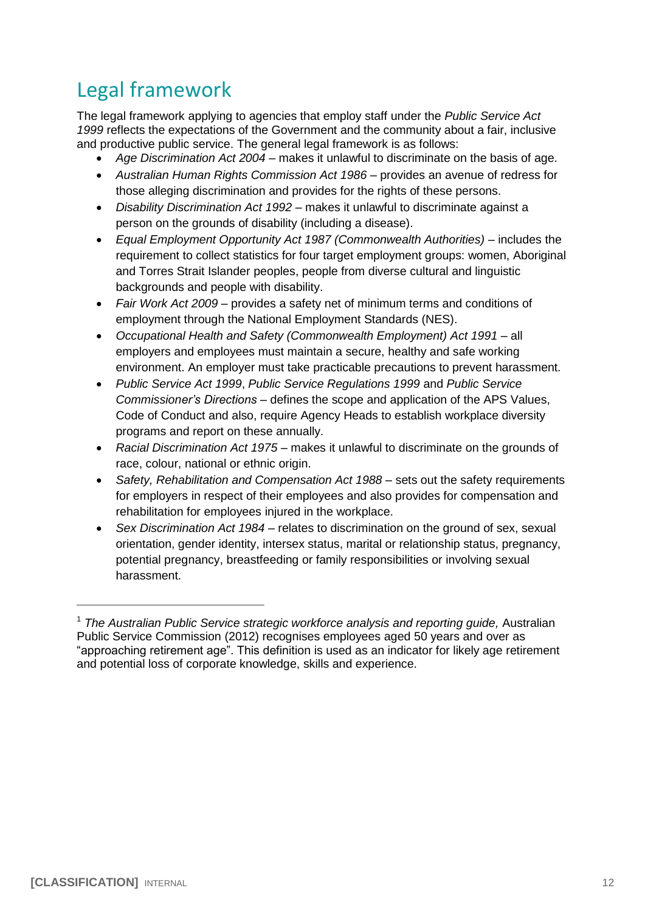# <span id="page-11-0"></span>Legal framework

The legal framework applying to agencies that employ staff under the *Public Service Act 1999* reflects the expectations of the Government and the community about a fair, inclusive and productive public service. The general legal framework is as follows:

- *Age Discrimination Act 2004* makes it unlawful to discriminate on the basis of age.
- *Australian Human Rights Commission Act 1986* provides an avenue of redress for those alleging discrimination and provides for the rights of these persons.
- *Disability Discrimination Act 1992* makes it unlawful to discriminate against a person on the grounds of disability (including a disease).
- *Equal Employment Opportunity Act 1987 (Commonwealth Authorities)* includes the requirement to collect statistics for four target employment groups: women, Aboriginal and Torres Strait Islander peoples, people from diverse cultural and linguistic backgrounds and people with disability.
- *Fair Work Act 2009* provides a safety net of minimum terms and conditions of employment through the National Employment Standards (NES).
- *Occupational Health and Safety (Commonwealth Employment) Act 1991* all employers and employees must maintain a secure, healthy and safe working environment. An employer must take practicable precautions to prevent harassment.
- *Public Service Act 1999*, *Public Service Regulations 1999* and *Public Service Commissioner's Directions* – defines the scope and application of the APS Values, Code of Conduct and also, require Agency Heads to establish workplace diversity programs and report on these annually.
- *Racial Discrimination Act 1975* makes it unlawful to discriminate on the grounds of race, colour, national or ethnic origin.
- *Safety, Rehabilitation and Compensation Act 1988* sets out the safety requirements for employers in respect of their employees and also provides for compensation and rehabilitation for employees injured in the workplace.
- *Sex Discrimination Act 1984* relates to discrimination on the ground of sex, sexual orientation, gender identity, intersex status, marital or relationship status, pregnancy, potential pregnancy, breastfeeding or family responsibilities or involving sexual harassment.

<sup>&</sup>lt;sup>1</sup> The Australian Public Service strategic workforce analysis and reporting guide, Australian Public Service Commission (2012) recognises employees aged 50 years and over as "approaching retirement age". This definition is used as an indicator for likely age retirement and potential loss of corporate knowledge, skills and experience.